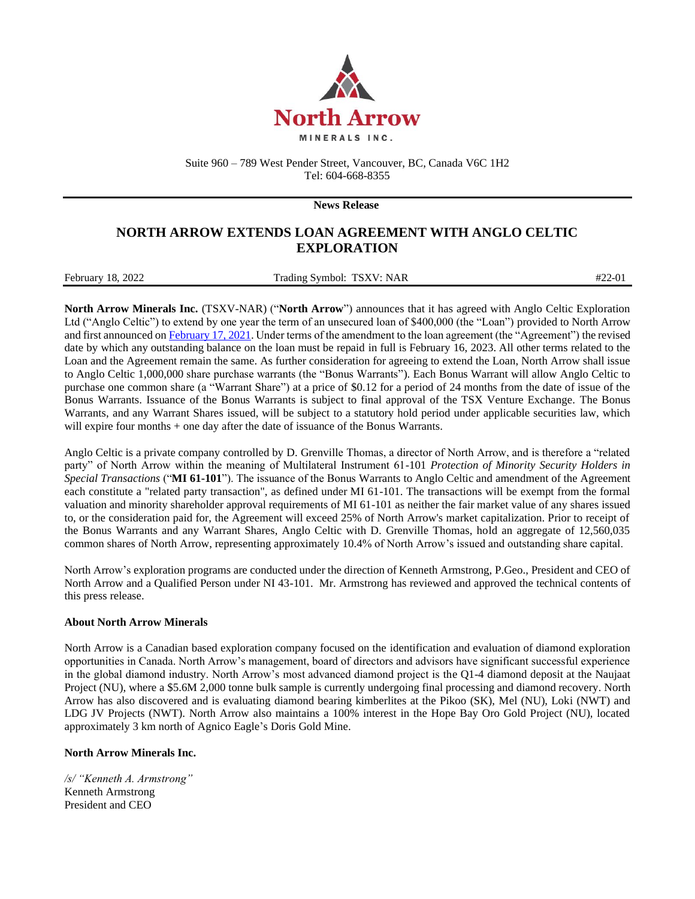

Suite 960 – 789 West Pender Street, Vancouver, BC, Canada V6C 1H2 Tel: 604-668-8355

**News Release**

## **NORTH ARROW EXTENDS LOAN AGREEMENT WITH ANGLO CELTIC EXPLORATION**

| February 18, 2022<br>. | Trading Symbol: TSXV: NAR | $#22-01$ |
|------------------------|---------------------------|----------|

**North Arrow Minerals Inc.** (TSXV-NAR) ("**North Arrow**") announces that it has agreed with Anglo Celtic Exploration Ltd ("Anglo Celtic") to extend by one year the term of an unsecured loan of \$400,000 (the "Loan") provided to North Arrow and first announced o[n February 17, 2021.](http://northarrowminerals.com/news/press_releases/index.php?content_id=260) Under terms of the amendment to the loan agreement (the "Agreement") the revised date by which any outstanding balance on the loan must be repaid in full is February 16, 2023. All other terms related to the Loan and the Agreement remain the same. As further consideration for agreeing to extend the Loan, North Arrow shall issue to Anglo Celtic 1,000,000 share purchase warrants (the "Bonus Warrants"). Each Bonus Warrant will allow Anglo Celtic to purchase one common share (a "Warrant Share") at a price of \$0.12 for a period of 24 months from the date of issue of the Bonus Warrants. Issuance of the Bonus Warrants is subject to final approval of the TSX Venture Exchange. The Bonus Warrants, and any Warrant Shares issued, will be subject to a statutory hold period under applicable securities law, which will expire four months + one day after the date of issuance of the Bonus Warrants.

Anglo Celtic is a private company controlled by D. Grenville Thomas, a director of North Arrow, and is therefore a "related party" of North Arrow within the meaning of Multilateral Instrument 61-101 *Protection of Minority Security Holders in Special Transactions* ("**MI 61-101**"). The issuance of the Bonus Warrants to Anglo Celtic and amendment of the Agreement each constitute a "related party transaction", as defined under MI 61-101. The transactions will be exempt from the formal valuation and minority shareholder approval requirements of MI 61-101 as neither the fair market value of any shares issued to, or the consideration paid for, the Agreement will exceed 25% of North Arrow's market capitalization. Prior to receipt of the Bonus Warrants and any Warrant Shares, Anglo Celtic with D. Grenville Thomas, hold an aggregate of 12,560,035 common shares of North Arrow, representing approximately 10.4% of North Arrow's issued and outstanding share capital.

North Arrow's exploration programs are conducted under the direction of Kenneth Armstrong, P.Geo., President and CEO of North Arrow and a Qualified Person under NI 43-101. Mr. Armstrong has reviewed and approved the technical contents of this press release.

## **About North Arrow Minerals**

North Arrow is a Canadian based exploration company focused on the identification and evaluation of diamond exploration opportunities in Canada. North Arrow's management, board of directors and advisors have significant successful experience in the global diamond industry. North Arrow's most advanced diamond project is the Q1-4 diamond deposit at the Naujaat Project (NU), where a \$5.6M 2,000 tonne bulk sample is currently undergoing final processing and diamond recovery. North Arrow has also discovered and is evaluating diamond bearing kimberlites at the Pikoo (SK), Mel (NU), Loki (NWT) and LDG JV Projects (NWT). North Arrow also maintains a 100% interest in the Hope Bay Oro Gold Project (NU), located approximately 3 km north of Agnico Eagle's Doris Gold Mine.

## **North Arrow Minerals Inc.**

*/s/ "Kenneth A. Armstrong"* Kenneth Armstrong President and CEO